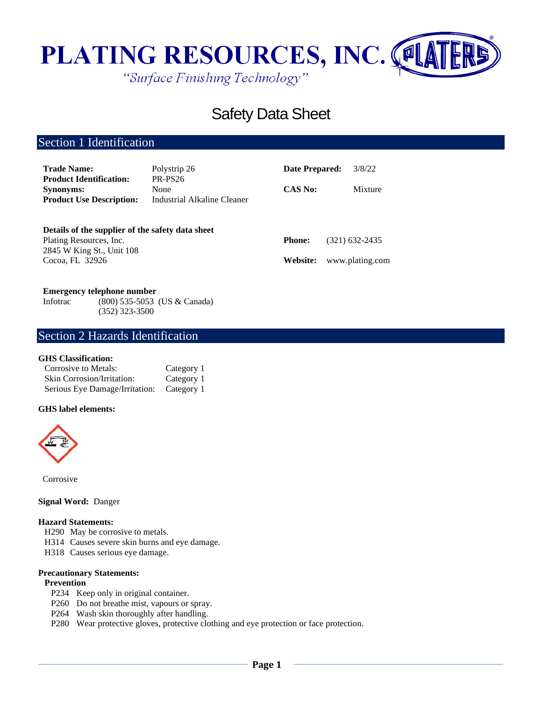

# Safety Data Sheet

# Section 1 Identification

| <b>Trade Name:</b>                                 | Polystrip 26                | <b>Date Prepared:</b> | 3/8/22          |
|----------------------------------------------------|-----------------------------|-----------------------|-----------------|
| <b>Product Identification:</b><br><b>Synonyms:</b> | PR-PS26<br>None             | <b>CAS No:</b>        | Mixture         |
| <b>Product Use Description:</b>                    | Industrial Alkaline Cleaner |                       |                 |
| Details of the supplier of the safety data sheet   |                             |                       |                 |
| Plating Resources, Inc.                            |                             | <b>Phone:</b>         | (321) 632-2435  |
| 2845 W King St., Unit 108                          |                             |                       |                 |
| Cocoa, FL 32926                                    |                             | Website:              | www.plating.com |

### **Emergency telephone number**

Infotrac (800) 535-5053 (US & Canada) (352) 323-3500

### Section 2 Hazards Identification

### **GHS Classification:**

| Corrosive to Metals:              | Category 1 |
|-----------------------------------|------------|
| <b>Skin Corrosion/Irritation:</b> | Category 1 |
| Serious Eye Damage/Irritation:    | Category 1 |

### **GHS label elements:**



Corrosive

### **Signal Word:** Danger

### **Hazard Statements:**

- H290 May be corrosive to metals.
- H314 Causes severe skin burns and eye damage.
- H318 Causes serious eye damage.

#### **Precautionary Statements:**

### **Prevention**

- P234 Keep only in original container.
- P260 Do not breathe mist, vapours or spray.
- P264 Wash skin thoroughly after handling.
- P280 Wear protective gloves, protective clothing and eye protection or face protection.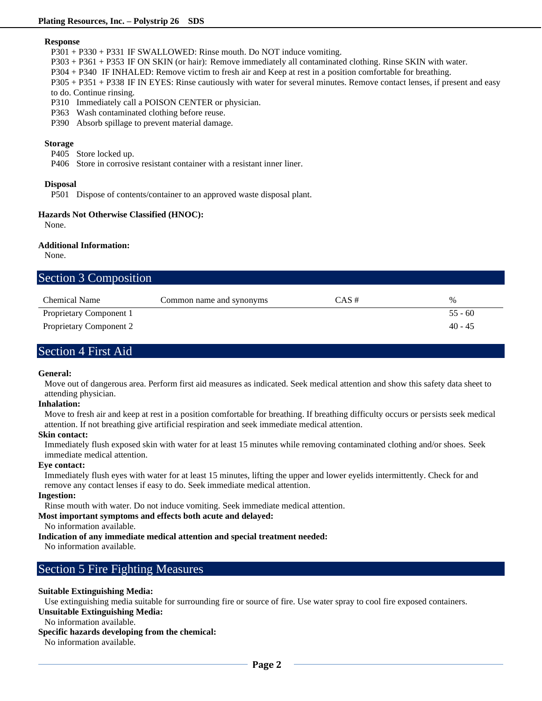#### **Response**

P301 + P330 + P331 IF SWALLOWED: Rinse mouth. Do NOT induce vomiting.

P303 + P361 + P353 IF ON SKIN (or hair): Remove immediately all contaminated clothing. Rinse SKIN with water.

P304 + P340 IF INHALED: Remove victim to fresh air and Keep at rest in a position comfortable for breathing.

P305 + P351 + P338 IF IN EYES: Rinse cautiously with water for several minutes. Remove contact lenses, if present and easy to do. Continue rinsing.

P310 Immediately call a POISON CENTER or physician.

P363 Wash contaminated clothing before reuse.

P390 Absorb spillage to prevent material damage.

#### **Storage**

P405 Store locked up.

P406 Store in corrosive resistant container with a resistant inner liner.

#### **Disposal**

P501 Dispose of contents/container to an approved waste disposal plant.

### **Hazards Not Otherwise Classified (HNOC):**

None.

#### **Additional Information:**

None.

| <b>Section 3 Composition</b>   |                          |          |           |
|--------------------------------|--------------------------|----------|-----------|
| <b>Chemical Name</b>           | Common name and synonyms | $CAS \#$ | $\%$      |
| Proprietary Component 1        |                          |          | $55 - 60$ |
| <b>Proprietary Component 2</b> |                          |          | $40 - 45$ |

### Section 4 First Aid

#### **General:**

Move out of dangerous area. Perform first aid measures as indicated. Seek medical attention and show this safety data sheet to attending physician.

### **Inhalation:**

Move to fresh air and keep at rest in a position comfortable for breathing. If breathing difficulty occurs or persists seek medical attention. If not breathing give artificial respiration and seek immediate medical attention.

### **Skin contact:**

Immediately flush exposed skin with water for at least 15 minutes while removing contaminated clothing and/or shoes. Seek immediate medical attention.

### **Eye contact:**

Immediately flush eyes with water for at least 15 minutes, lifting the upper and lower eyelids intermittently. Check for and remove any contact lenses if easy to do. Seek immediate medical attention.

#### **Ingestion:**

Rinse mouth with water. Do not induce vomiting. Seek immediate medical attention.

### **Most important symptoms and effects both acute and delayed:**

No information available.

### **Indication of any immediate medical attention and special treatment needed:**

No information available.

### Section 5 Fire Fighting Measures

### **Suitable Extinguishing Media:**

Use extinguishing media suitable for surrounding fire or source of fire. Use water spray to cool fire exposed containers.

**Unsuitable Extinguishing Media:**

#### No information available.

### **Specific hazards developing from the chemical:**

No information available.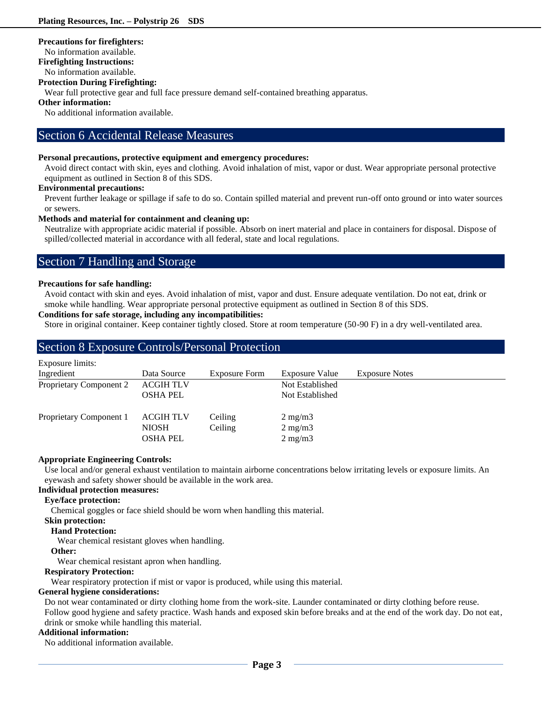### **Precautions for firefighters:**

No information available.

**Firefighting Instructions:**

No information available.

### **Protection During Firefighting:**

Wear full protective gear and full face pressure demand self-contained breathing apparatus.

### **Other information:**

No additional information available.

### Section 6 Accidental Release Measures

### **Personal precautions, protective equipment and emergency procedures:**

Avoid direct contact with skin, eyes and clothing. Avoid inhalation of mist, vapor or dust. Wear appropriate personal protective equipment as outlined in Section 8 of this SDS.

### **Environmental precautions:**

Prevent further leakage or spillage if safe to do so. Contain spilled material and prevent run-off onto ground or into water sources or sewers.

### **Methods and material for containment and cleaning up:**

Neutralize with appropriate acidic material if possible. Absorb on inert material and place in containers for disposal. Dispose of spilled/collected material in accordance with all federal, state and local regulations.

### Section 7 Handling and Storage

### **Precautions for safe handling:**

Avoid contact with skin and eyes. Avoid inhalation of mist, vapor and dust. Ensure adequate ventilation. Do not eat, drink or smoke while handling. Wear appropriate personal protective equipment as outlined in Section 8 of this SDS.

### **Conditions for safe storage, including any incompatibilities:**

Store in original container. Keep container tightly closed. Store at room temperature (50-90 F) in a dry well-ventilated area.

### Section 8 Exposure Controls/Personal Protection

| Exposure limits:        |                  |                      |                       |                       |
|-------------------------|------------------|----------------------|-----------------------|-----------------------|
| Ingredient              | Data Source      | <b>Exposure Form</b> | <b>Exposure Value</b> | <b>Exposure Notes</b> |
| Proprietary Component 2 | <b>ACGIH TLV</b> |                      | Not Established       |                       |
|                         | <b>OSHA PEL</b>  |                      | Not Established       |                       |
| Proprietary Component 1 | <b>ACGIH TLV</b> | Ceiling              | $2 \text{ mg/m}$      |                       |
|                         | <b>NIOSH</b>     | Ceiling              | $2 \text{ mg/m}$      |                       |
|                         | <b>OSHA PEL</b>  |                      | $2 \text{ mg/m}$      |                       |

### **Appropriate Engineering Controls:**

Use local and/or general exhaust ventilation to maintain airborne concentrations below irritating levels or exposure limits. An eyewash and safety shower should be available in the work area.

### **Individual protection measures:**

### **Eye/face protection:**

Chemical goggles or face shield should be worn when handling this material.

#### **Skin protection:**

### **Hand Protection:**

Wear chemical resistant gloves when handling.

#### **Other:**

Wear chemical resistant apron when handling.

### **Respiratory Protection:**

Wear respiratory protection if mist or vapor is produced, while using this material.

### **General hygiene considerations:**

Do not wear contaminated or dirty clothing home from the work-site. Launder contaminated or dirty clothing before reuse. Follow good hygiene and safety practice. Wash hands and exposed skin before breaks and at the end of the work day. Do not eat, drink or smoke while handling this material.

### **Additional information:**

No additional information available.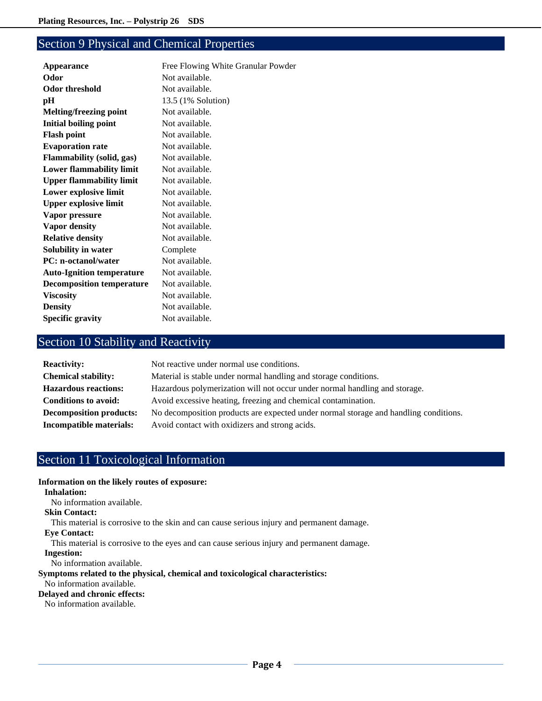# Section 9 Physical and Chemical Properties

| Appearance                       | Free Flowing White Granular Powder |
|----------------------------------|------------------------------------|
| Odor                             | Not available.                     |
| <b>Odor threshold</b>            | Not available.                     |
| pН                               | 13.5 (1% Solution)                 |
| <b>Melting/freezing point</b>    | Not available.                     |
| <b>Initial boiling point</b>     | Not available.                     |
| <b>Flash point</b>               | Not available.                     |
| <b>Evaporation rate</b>          | Not available.                     |
| <b>Flammability (solid, gas)</b> | Not available.                     |
| <b>Lower flammability limit</b>  | Not available.                     |
| <b>Upper flammability limit</b>  | Not available.                     |
| Lower explosive limit            | Not available.                     |
| <b>Upper explosive limit</b>     | Not available.                     |
| Vapor pressure                   | Not available.                     |
| Vapor density                    | Not available.                     |
| <b>Relative density</b>          | Not available.                     |
| <b>Solubility in water</b>       | Complete                           |
| <b>PC:</b> n-octanol/water       | Not available.                     |
| <b>Auto-Ignition temperature</b> | Not available.                     |
| <b>Decomposition temperature</b> | Not available.                     |
| <b>Viscosity</b>                 | Not available.                     |
| <b>Density</b>                   | Not available.                     |
| <b>Specific gravity</b>          | Not available.                     |
|                                  |                                    |

# Section 10 Stability and Reactivity

| <b>Reactivity:</b>             | Not reactive under normal use conditions.                                            |
|--------------------------------|--------------------------------------------------------------------------------------|
| <b>Chemical stability:</b>     | Material is stable under normal handling and storage conditions.                     |
| <b>Hazardous reactions:</b>    | Hazardous polymerization will not occur under normal handling and storage.           |
| <b>Conditions to avoid:</b>    | Avoid excessive heating, freezing and chemical contamination.                        |
| <b>Decomposition products:</b> | No decomposition products are expected under normal storage and handling conditions. |
| Incompatible materials:        | Avoid contact with oxidizers and strong acids.                                       |

# Section 11 Toxicological Information

### **Information on the likely routes of exposure:**

**Inhalation:**

No information available.

### **Skin Contact:**

This material is corrosive to the skin and can cause serious injury and permanent damage.

### **Eye Contact:**

This material is corrosive to the eyes and can cause serious injury and permanent damage.

### **Ingestion:**

No information available.

### **Symptoms related to the physical, chemical and toxicological characteristics:**

### No information available.

**Delayed and chronic effects:**

No information available.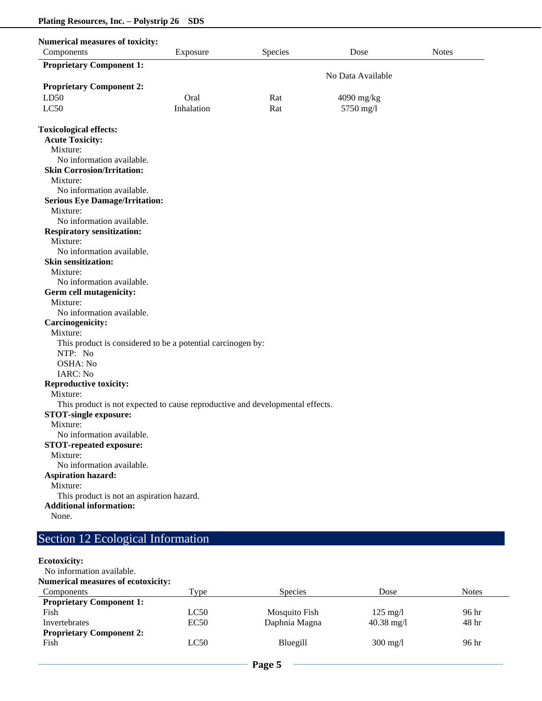| <b>Numerical measures of toxicity:</b><br>Components                                                          | Exposure   | Species | Dose              | <b>Notes</b> |
|---------------------------------------------------------------------------------------------------------------|------------|---------|-------------------|--------------|
| <b>Proprietary Component 1:</b>                                                                               |            |         |                   |              |
|                                                                                                               |            |         | No Data Available |              |
| <b>Proprietary Component 2:</b>                                                                               |            |         |                   |              |
| LD50                                                                                                          | Oral       | Rat     | 4090 mg/kg        |              |
| LC50                                                                                                          | Inhalation | Rat     | 5750 mg/l         |              |
|                                                                                                               |            |         |                   |              |
| <b>Toxicological effects:</b>                                                                                 |            |         |                   |              |
| <b>Acute Toxicity:</b>                                                                                        |            |         |                   |              |
| Mixture:                                                                                                      |            |         |                   |              |
| No information available.                                                                                     |            |         |                   |              |
| <b>Skin Corrosion/Irritation:</b>                                                                             |            |         |                   |              |
| Mixture:                                                                                                      |            |         |                   |              |
| No information available.                                                                                     |            |         |                   |              |
| <b>Serious Eye Damage/Irritation:</b>                                                                         |            |         |                   |              |
| Mixture:                                                                                                      |            |         |                   |              |
| No information available.                                                                                     |            |         |                   |              |
| <b>Respiratory sensitization:</b>                                                                             |            |         |                   |              |
| Mixture:                                                                                                      |            |         |                   |              |
| No information available.                                                                                     |            |         |                   |              |
| <b>Skin sensitization:</b>                                                                                    |            |         |                   |              |
| Mixture:                                                                                                      |            |         |                   |              |
| No information available.                                                                                     |            |         |                   |              |
| Germ cell mutagenicity:                                                                                       |            |         |                   |              |
| Mixture:                                                                                                      |            |         |                   |              |
| No information available.                                                                                     |            |         |                   |              |
| <b>Carcinogenicity:</b>                                                                                       |            |         |                   |              |
| Mixture:                                                                                                      |            |         |                   |              |
|                                                                                                               |            |         |                   |              |
| This product is considered to be a potential carcinogen by:<br>NTP: No                                        |            |         |                   |              |
| OSHA: No                                                                                                      |            |         |                   |              |
| IARC: No                                                                                                      |            |         |                   |              |
|                                                                                                               |            |         |                   |              |
| Reproductive toxicity:<br>Mixture:                                                                            |            |         |                   |              |
|                                                                                                               |            |         |                   |              |
| This product is not expected to cause reproductive and developmental effects.<br><b>STOT-single exposure:</b> |            |         |                   |              |
|                                                                                                               |            |         |                   |              |
| Mixture:<br>No information available.                                                                         |            |         |                   |              |
| <b>STOT-repeated exposure:</b>                                                                                |            |         |                   |              |
| Mixture:                                                                                                      |            |         |                   |              |
| No information available.                                                                                     |            |         |                   |              |
| <b>Aspiration hazard:</b>                                                                                     |            |         |                   |              |
| Mixture:                                                                                                      |            |         |                   |              |
|                                                                                                               |            |         |                   |              |
| This product is not an aspiration hazard.<br><b>Additional information:</b>                                   |            |         |                   |              |
| None.                                                                                                         |            |         |                   |              |
|                                                                                                               |            |         |                   |              |

# Section 12 Ecological Information

### **Ecotoxicity:**

| No information available.                 |      |                |                    |              |
|-------------------------------------------|------|----------------|--------------------|--------------|
| <b>Numerical measures of ecotoxicity:</b> |      |                |                    |              |
| Components                                | Type | <b>Species</b> | Dose               | <b>Notes</b> |
| <b>Proprietary Component 1:</b>           |      |                |                    |              |
| Fish                                      | LC50 | Mosquito Fish  | $125 \text{ mg}/1$ | 96 hr        |
| Invertebrates                             | EC50 | Daphnia Magna  | $40.38$ mg/l       | 48 hr        |
| <b>Proprietary Component 2:</b>           |      |                |                    |              |
| Fish                                      | LC50 | Bluegill       | $300 \text{ mg}/l$ | 96 hr        |
|                                           |      |                |                    |              |
|                                           |      |                |                    |              |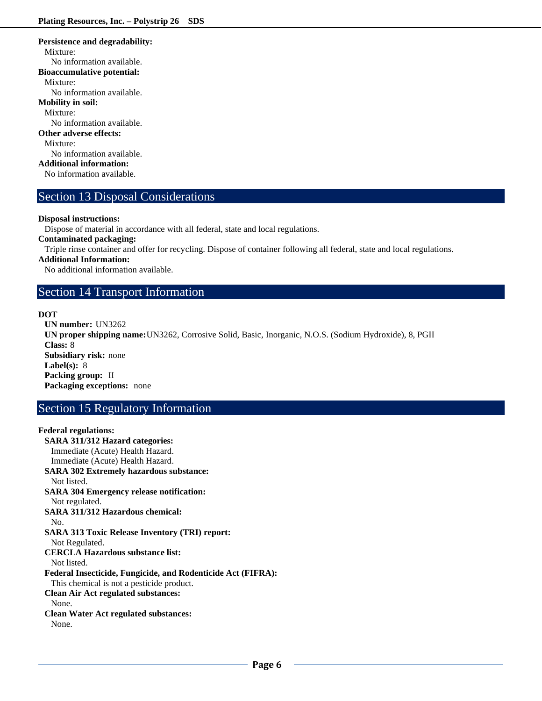### **Persistence and degradability:** Mixture: No information available. **Bioaccumulative potential:** Mixture: No information available. **Mobility in soil:** Mixture: No information available. **Other adverse effects:** Mixture: No information available. **Additional information:** No information available.

## Section 13 Disposal Considerations

### **Disposal instructions:**

Dispose of material in accordance with all federal, state and local regulations.

**Contaminated packaging:**

Triple rinse container and offer for recycling. Dispose of container following all federal, state and local regulations.

### **Additional Information:**

No additional information available.

### Section 14 Transport Information

### **DOT**

**UN number:** UN3262 **UN proper shipping name:**UN3262, Corrosive Solid, Basic, Inorganic, N.O.S. (Sodium Hydroxide), 8, PGII **Class:** 8 **Subsidiary risk:** none **Label(s):** 8 **Packing group:** II **Packaging exceptions:** none

# Section 15 Regulatory Information

### **Federal regulations: SARA 311/312 Hazard categories:**  Immediate (Acute) Health Hazard. Immediate (Acute) Health Hazard. **SARA 302 Extremely hazardous substance:** Not listed. **SARA 304 Emergency release notification:** Not regulated. **SARA 311/312 Hazardous chemical:** No. **SARA 313 Toxic Release Inventory (TRI) report:** Not Regulated. **CERCLA Hazardous substance list:** Not listed. **Federal Insecticide, Fungicide, and Rodenticide Act (FIFRA):** This chemical is not a pesticide product. **Clean Air Act regulated substances:** None. **Clean Water Act regulated substances:** None.